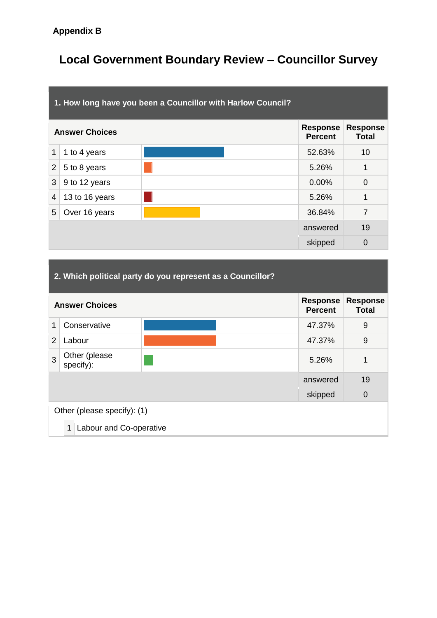# **Local Government Boundary Review – Councillor Survey**

|                | 1. How long have you been a Councillor with Harlow Council? |  |                                   |                                 |  |  |  |
|----------------|-------------------------------------------------------------|--|-----------------------------------|---------------------------------|--|--|--|
|                | <b>Answer Choices</b>                                       |  | <b>Response</b><br><b>Percent</b> | <b>Response</b><br><b>Total</b> |  |  |  |
| 1              | 1 to 4 years                                                |  | 52.63%                            | 10                              |  |  |  |
| $\overline{2}$ | 5 to 8 years                                                |  | 5.26%                             | 1                               |  |  |  |
| 3              | 9 to 12 years                                               |  | 0.00%                             | $\Omega$                        |  |  |  |
| $\overline{4}$ | 13 to 16 years                                              |  | 5.26%                             | 1                               |  |  |  |
| 5              | Over 16 years                                               |  | 36.84%                            | $\overline{7}$                  |  |  |  |
|                |                                                             |  | answered                          | 19                              |  |  |  |
|                |                                                             |  | skipped                           | $\overline{0}$                  |  |  |  |

| 2. Which political party do you represent as a Councillor? |                              |  |  |                                   |                                 |  |
|------------------------------------------------------------|------------------------------|--|--|-----------------------------------|---------------------------------|--|
|                                                            | <b>Answer Choices</b>        |  |  | <b>Response</b><br><b>Percent</b> | <b>Response</b><br><b>Total</b> |  |
| 1                                                          | Conservative                 |  |  | 47.37%                            | 9                               |  |
| $\overline{2}$                                             | Labour                       |  |  | 47.37%                            | 9                               |  |
| 3                                                          | Other (please<br>specify):   |  |  | 5.26%                             | 1                               |  |
|                                                            |                              |  |  | answered                          | 19                              |  |
|                                                            | $\overline{0}$<br>skipped    |  |  |                                   |                                 |  |
|                                                            | Other (please specify): (1)  |  |  |                                   |                                 |  |
|                                                            | 1<br>Labour and Co-operative |  |  |                                   |                                 |  |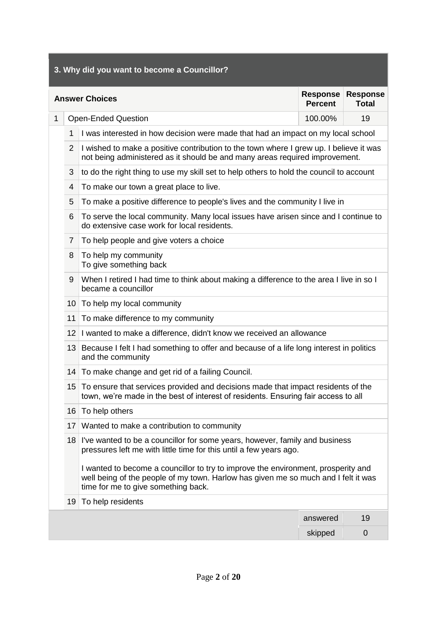|                                                                                               | 3. Why did you want to become a Councillor? |                                                                                                                                                                                                                |          |             |  |  |  |
|-----------------------------------------------------------------------------------------------|---------------------------------------------|----------------------------------------------------------------------------------------------------------------------------------------------------------------------------------------------------------------|----------|-------------|--|--|--|
| <b>Response</b><br><b>Response</b><br><b>Answer Choices</b><br><b>Percent</b><br><b>Total</b> |                                             |                                                                                                                                                                                                                |          |             |  |  |  |
| 1                                                                                             |                                             | <b>Open-Ended Question</b>                                                                                                                                                                                     | 100.00%  | 19          |  |  |  |
|                                                                                               | 1                                           | I was interested in how decision were made that had an impact on my local school                                                                                                                               |          |             |  |  |  |
|                                                                                               | $\overline{2}$                              | I wished to make a positive contribution to the town where I grew up. I believe it was<br>not being administered as it should be and many areas required improvement.                                          |          |             |  |  |  |
|                                                                                               | 3                                           | to do the right thing to use my skill set to help others to hold the council to account                                                                                                                        |          |             |  |  |  |
|                                                                                               | 4                                           | To make our town a great place to live.                                                                                                                                                                        |          |             |  |  |  |
|                                                                                               | 5                                           | To make a positive difference to people's lives and the community I live in                                                                                                                                    |          |             |  |  |  |
|                                                                                               | 6                                           | To serve the local community. Many local issues have arisen since and I continue to<br>do extensive case work for local residents.                                                                             |          |             |  |  |  |
|                                                                                               | 7                                           | To help people and give voters a choice                                                                                                                                                                        |          |             |  |  |  |
|                                                                                               | 8                                           | To help my community<br>To give something back                                                                                                                                                                 |          |             |  |  |  |
|                                                                                               | 9                                           | When I retired I had time to think about making a difference to the area I live in so I<br>became a councillor                                                                                                 |          |             |  |  |  |
|                                                                                               | 10                                          | To help my local community                                                                                                                                                                                     |          |             |  |  |  |
|                                                                                               | 11                                          | To make difference to my community                                                                                                                                                                             |          |             |  |  |  |
|                                                                                               | 12                                          | I wanted to make a difference, didn't know we received an allowance                                                                                                                                            |          |             |  |  |  |
|                                                                                               |                                             | 13 Because I felt I had something to offer and because of a life long interest in politics<br>and the community                                                                                                |          |             |  |  |  |
|                                                                                               | 14                                          | To make change and get rid of a failing Council.                                                                                                                                                               |          |             |  |  |  |
|                                                                                               | 15                                          | To ensure that services provided and decisions made that impact residents of the<br>town, we're made in the best of interest of residents. Ensuring fair access to all                                         |          |             |  |  |  |
|                                                                                               | 16                                          | To help others                                                                                                                                                                                                 |          |             |  |  |  |
|                                                                                               | 17                                          | Wanted to make a contribution to community                                                                                                                                                                     |          |             |  |  |  |
|                                                                                               | 18                                          | I've wanted to be a councillor for some years, however, family and business<br>pressures left me with little time for this until a few years ago.                                                              |          |             |  |  |  |
|                                                                                               |                                             | I wanted to become a councillor to try to improve the environment, prosperity and<br>well being of the people of my town. Harlow has given me so much and I felt it was<br>time for me to give something back. |          |             |  |  |  |
|                                                                                               | 19                                          | To help residents                                                                                                                                                                                              |          |             |  |  |  |
|                                                                                               |                                             |                                                                                                                                                                                                                | answered | 19          |  |  |  |
|                                                                                               |                                             |                                                                                                                                                                                                                | skipped  | $\mathbf 0$ |  |  |  |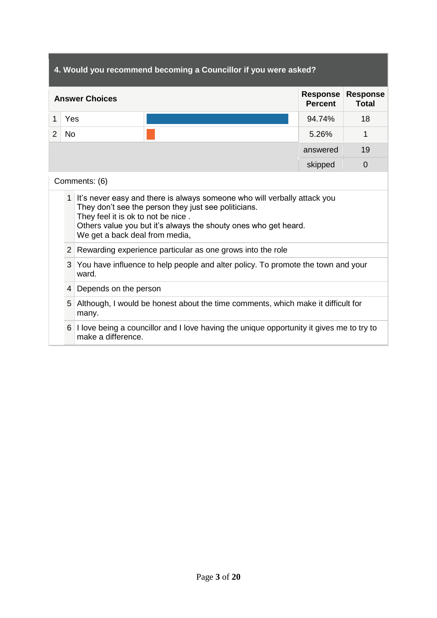| 4. Would you recommend becoming a Councillor if you were asked? |                |                                                                                                                                                                                                                                                                               |                                                                                  |  |                                   |                                 |
|-----------------------------------------------------------------|----------------|-------------------------------------------------------------------------------------------------------------------------------------------------------------------------------------------------------------------------------------------------------------------------------|----------------------------------------------------------------------------------|--|-----------------------------------|---------------------------------|
|                                                                 |                | <b>Answer Choices</b>                                                                                                                                                                                                                                                         |                                                                                  |  | <b>Response</b><br><b>Percent</b> | <b>Response</b><br><b>Total</b> |
| 1                                                               | Yes            |                                                                                                                                                                                                                                                                               |                                                                                  |  | 94.74%                            | 18                              |
| 2                                                               | <b>No</b>      |                                                                                                                                                                                                                                                                               |                                                                                  |  | 5.26%                             | 1                               |
|                                                                 |                |                                                                                                                                                                                                                                                                               |                                                                                  |  | answered                          | 19                              |
|                                                                 |                |                                                                                                                                                                                                                                                                               |                                                                                  |  | skipped                           | $\Omega$                        |
|                                                                 |                | Comments: (6)                                                                                                                                                                                                                                                                 |                                                                                  |  |                                   |                                 |
|                                                                 |                | 1 It's never easy and there is always someone who will verbally attack you<br>They don't see the person they just see politicians.<br>They feel it is ok to not be nice.<br>Others value you but it's always the shouty ones who get heard.<br>We get a back deal from media, |                                                                                  |  |                                   |                                 |
|                                                                 | 2 <sup>1</sup> |                                                                                                                                                                                                                                                                               | Rewarding experience particular as one grows into the role                       |  |                                   |                                 |
|                                                                 | 3              | ward.                                                                                                                                                                                                                                                                         | You have influence to help people and alter policy. To promote the town and your |  |                                   |                                 |
|                                                                 |                | 4 Depends on the person                                                                                                                                                                                                                                                       |                                                                                  |  |                                   |                                 |
|                                                                 | 5              | Although, I would be honest about the time comments, which make it difficult for<br>many.                                                                                                                                                                                     |                                                                                  |  |                                   |                                 |
|                                                                 | 6              | I love being a councillor and I love having the unique opportunity it gives me to try to<br>make a difference.                                                                                                                                                                |                                                                                  |  |                                   |                                 |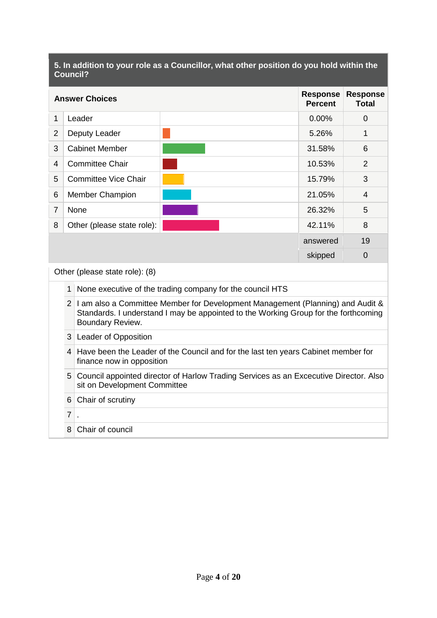### **5. In addition to your role as a Councillor, what other position do you hold within the Council?**

| <b>Answer Choices</b>          |                                                                           |  | <b>Response</b><br><b>Percent</b> | <b>Response</b><br>Total |  |  |  |
|--------------------------------|---------------------------------------------------------------------------|--|-----------------------------------|--------------------------|--|--|--|
| 1                              | Leader                                                                    |  | 0.00%                             | 0                        |  |  |  |
| $\overline{2}$                 | Deputy Leader                                                             |  | 5.26%                             | 1                        |  |  |  |
| 3                              | <b>Cabinet Member</b>                                                     |  | 31.58%                            | 6                        |  |  |  |
| 4                              | <b>Committee Chair</b>                                                    |  | 10.53%                            | 2                        |  |  |  |
| 5                              | <b>Committee Vice Chair</b>                                               |  | 15.79%                            | 3                        |  |  |  |
| 6                              | <b>Member Champion</b>                                                    |  | 21.05%                            | 4                        |  |  |  |
| $\overline{7}$                 | None                                                                      |  | 26.32%                            | 5                        |  |  |  |
| 8                              | Other (please state role):                                                |  | 42.11%                            | 8                        |  |  |  |
|                                |                                                                           |  | answered                          | 19                       |  |  |  |
|                                | $\mathbf 0$<br>skipped                                                    |  |                                   |                          |  |  |  |
| Other (please state role): (8) |                                                                           |  |                                   |                          |  |  |  |
|                                | $\mathbf{1}$<br>None executive of the trading company for the council HTS |  |                                   |                          |  |  |  |

## 2 I am also a Committee Member for Development Management (Planning) and Audit & Standards. I understand I may be appointed to the Working Group for the forthcoming Boundary Review.

#### 3 Leader of Opposition

## 4 Have been the Leader of the Council and for the last ten years Cabinet member for finance now in opposition

## 5 Council appointed director of Harlow Trading Services as an Excecutive Director. Also sit on Development Committee

# 6 Chair of scrutiny  $7$ . 8 Chair of council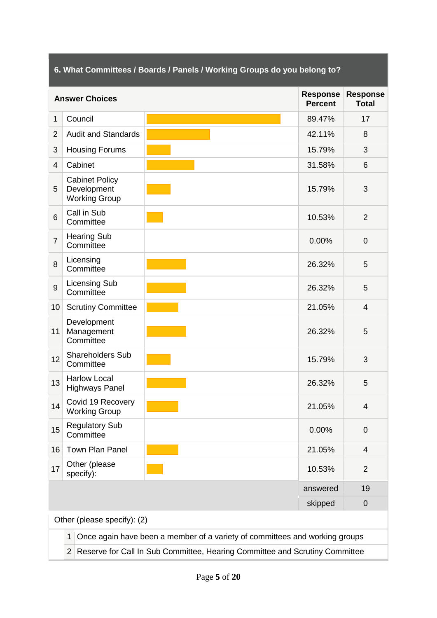|                 | 6. What Committees / Boards / Panels / Working Groups do you belong to?                       |                                                                             |                                   |                                 |  |
|-----------------|-----------------------------------------------------------------------------------------------|-----------------------------------------------------------------------------|-----------------------------------|---------------------------------|--|
|                 | <b>Answer Choices</b>                                                                         |                                                                             | <b>Response</b><br><b>Percent</b> | <b>Response</b><br><b>Total</b> |  |
| $\mathbf{1}$    | Council                                                                                       |                                                                             | 89.47%                            | 17                              |  |
| $\overline{2}$  | <b>Audit and Standards</b>                                                                    |                                                                             | 42.11%                            | 8                               |  |
| 3               | <b>Housing Forums</b>                                                                         |                                                                             | 15.79%                            | 3                               |  |
| $\overline{4}$  | Cabinet                                                                                       |                                                                             | 31.58%                            | 6                               |  |
| 5               | <b>Cabinet Policy</b><br>Development<br><b>Working Group</b>                                  |                                                                             | 15.79%                            | 3                               |  |
| $6\phantom{1}6$ | Call in Sub<br>Committee                                                                      |                                                                             | 10.53%                            | $\overline{2}$                  |  |
| $\overline{7}$  | <b>Hearing Sub</b><br>Committee                                                               |                                                                             | 0.00%                             | $\overline{0}$                  |  |
| 8               | Licensing<br>Committee                                                                        |                                                                             | 26.32%                            | 5                               |  |
| 9               | <b>Licensing Sub</b><br>Committee                                                             |                                                                             | 26.32%                            | 5                               |  |
| 10              | <b>Scrutiny Committee</b>                                                                     |                                                                             | 21.05%                            | $\overline{4}$                  |  |
| 11              | Development<br>Management<br>Committee                                                        |                                                                             | 26.32%                            | 5                               |  |
| 12              | <b>Shareholders Sub</b><br>Committee                                                          |                                                                             | 15.79%                            | 3                               |  |
| 13              | <b>Harlow Local</b><br><b>Highways Panel</b>                                                  |                                                                             | 26.32%                            | 5                               |  |
| 14              | Covid 19 Recovery<br><b>Working Group</b>                                                     |                                                                             | 21.05%                            | 4                               |  |
| 15              | <b>Regulatory Sub</b><br>Committee                                                            |                                                                             | 0.00%                             | $\mathbf 0$                     |  |
| 16              | Town Plan Panel                                                                               |                                                                             | 21.05%                            | 4                               |  |
| 17              | Other (please<br>specify):                                                                    |                                                                             | 10.53%                            | $\overline{2}$                  |  |
|                 |                                                                                               |                                                                             | answered                          | 19                              |  |
|                 | skipped<br>$\mathbf 0$                                                                        |                                                                             |                                   |                                 |  |
|                 | Other (please specify): (2)                                                                   |                                                                             |                                   |                                 |  |
|                 | $\mathbf{1}$                                                                                  | Once again have been a member of a variety of committees and working groups |                                   |                                 |  |
|                 | Reserve for Call In Sub Committee, Hearing Committee and Scrutiny Committee<br>2 <sup>1</sup> |                                                                             |                                   |                                 |  |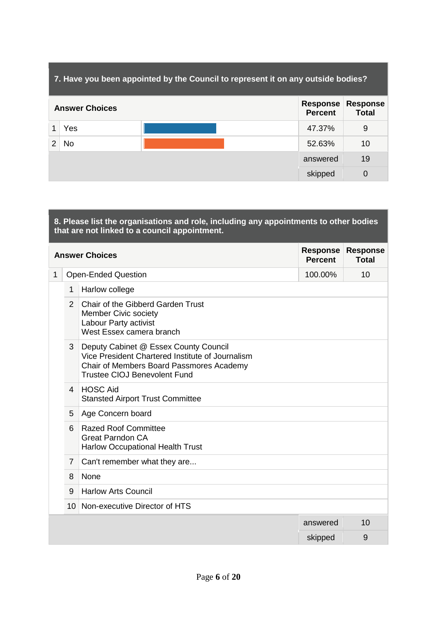| 7. Have you been appointed by the Council to represent it on any outside bodies? |                       |          |                                                               |  |  |
|----------------------------------------------------------------------------------|-----------------------|----------|---------------------------------------------------------------|--|--|
|                                                                                  | <b>Answer Choices</b> |          | <b>Response</b><br><b>Response</b><br>Total<br><b>Percent</b> |  |  |
|                                                                                  | Yes                   | 47.37%   | 9                                                             |  |  |
| 2                                                                                | No                    | 52.63%   | 10                                                            |  |  |
|                                                                                  |                       | answered | 19                                                            |  |  |
|                                                                                  |                       | skipped  | $\Omega$                                                      |  |  |

| 8. Please list the organisations and role, including any appointments to other bodies<br>that are not linked to a council appointment. |                |                                                                                                                                                                              |                                   |                                 |  |
|----------------------------------------------------------------------------------------------------------------------------------------|----------------|------------------------------------------------------------------------------------------------------------------------------------------------------------------------------|-----------------------------------|---------------------------------|--|
|                                                                                                                                        |                | <b>Answer Choices</b>                                                                                                                                                        | <b>Response</b><br><b>Percent</b> | <b>Response</b><br><b>Total</b> |  |
| 1                                                                                                                                      |                | <b>Open-Ended Question</b>                                                                                                                                                   | 100.00%                           | 10                              |  |
|                                                                                                                                        | $\mathbf 1$    | Harlow college                                                                                                                                                               |                                   |                                 |  |
|                                                                                                                                        | $\overline{2}$ | Chair of the Gibberd Garden Trust<br><b>Member Civic society</b><br>Labour Party activist<br>West Essex camera branch                                                        |                                   |                                 |  |
|                                                                                                                                        | 3              | Deputy Cabinet @ Essex County Council<br>Vice President Chartered Institute of Journalism<br>Chair of Members Board Passmores Academy<br><b>Trustee CIOJ Benevolent Fund</b> |                                   |                                 |  |
|                                                                                                                                        | $\mathbf 4$    | <b>HOSC Aid</b><br><b>Stansted Airport Trust Committee</b>                                                                                                                   |                                   |                                 |  |
|                                                                                                                                        | 5              | Age Concern board                                                                                                                                                            |                                   |                                 |  |
|                                                                                                                                        | 6              | <b>Razed Roof Committee</b><br><b>Great Parndon CA</b><br><b>Harlow Occupational Health Trust</b>                                                                            |                                   |                                 |  |
|                                                                                                                                        | $\overline{7}$ | Can't remember what they are                                                                                                                                                 |                                   |                                 |  |
|                                                                                                                                        | 8              | None                                                                                                                                                                         |                                   |                                 |  |
|                                                                                                                                        | 9              | <b>Harlow Arts Council</b>                                                                                                                                                   |                                   |                                 |  |
|                                                                                                                                        |                | 10 Non-executive Director of HTS                                                                                                                                             |                                   |                                 |  |
|                                                                                                                                        |                |                                                                                                                                                                              | answered                          | 10                              |  |
|                                                                                                                                        |                |                                                                                                                                                                              | skipped                           | 9                               |  |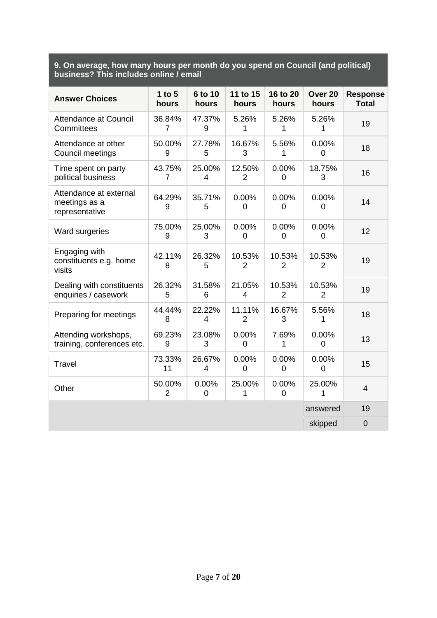### **9. On average, how many hours per month do you spend on Council (and political) business? This includes online / email**

| <b>Answer Choices</b>                                     | 1 to $5$<br>hours        | 6 to 10<br>hours | 11 to 15<br>hours        | 16 to 20<br>hours       | Over <sub>20</sub><br>hours | <b>Response</b><br><b>Total</b> |
|-----------------------------------------------------------|--------------------------|------------------|--------------------------|-------------------------|-----------------------------|---------------------------------|
| <b>Attendance at Council</b><br>Committees                | 36.84%<br>$\overline{7}$ | 47.37%<br>9      | 5.26%<br>1               | 5.26%<br>1              | 5.26%<br>1                  | 19                              |
| Attendance at other<br>Council meetings                   | 50.00%<br>9              | 27.78%<br>5      | 16.67%<br>3              | 5.56%<br>1              | 0.00%<br>0                  | 18                              |
| Time spent on party<br>political business                 | 43.75%<br>7              | 25.00%<br>4      | 12.50%<br>2              | 0.00%<br>0              | 18.75%<br>3                 | 16                              |
| Attendance at external<br>meetings as a<br>representative | 64.29%<br>9              | 35.71%<br>5      | 0.00%<br>$\mathbf 0$     | 0.00%<br>$\overline{0}$ | 0.00%<br>0                  | 14                              |
| Ward surgeries                                            | 75.00%<br>9              | 25.00%<br>3      | 0.00%<br>$\overline{0}$  | 0.00%<br>0              | 0.00%<br>0                  | 12                              |
| Engaging with<br>constituents e.g. home<br>visits         | 42.11%<br>8              | 26.32%<br>5      | 10.53%<br>2              | 10.53%<br>2             | 10.53%<br>$\overline{2}$    | 19                              |
| Dealing with constituents<br>enquiries / casework         | 26.32%<br>5              | 31.58%<br>6      | 21.05%<br>4              | 10.53%<br>2             | 10.53%<br>$\overline{2}$    | 19                              |
| Preparing for meetings                                    | 44.44%<br>8              | 22.22%<br>4      | 11.11%<br>$\overline{2}$ | 16.67%<br>3             | 5.56%<br>1                  | 18                              |
| Attending workshops,<br>training, conferences etc.        | 69.23%<br>9              | 23.08%<br>3      | 0.00%<br>0               | 7.69%<br>1              | 0.00%<br>0                  | 13                              |
| <b>Travel</b>                                             | 73.33%<br>11             | 26.67%<br>4      | 0.00%<br>$\mathbf 0$     | 0.00%<br>0              | 0.00%<br>0                  | 15                              |
| Other                                                     | 50.00%<br>$\overline{2}$ | 0.00%<br>0       | 25.00%<br>1              | 0.00%<br>$\overline{0}$ | 25.00%<br>1                 | $\overline{4}$                  |
|                                                           |                          |                  |                          |                         | answered                    | 19                              |
|                                                           |                          |                  |                          |                         | skipped                     | $\overline{0}$                  |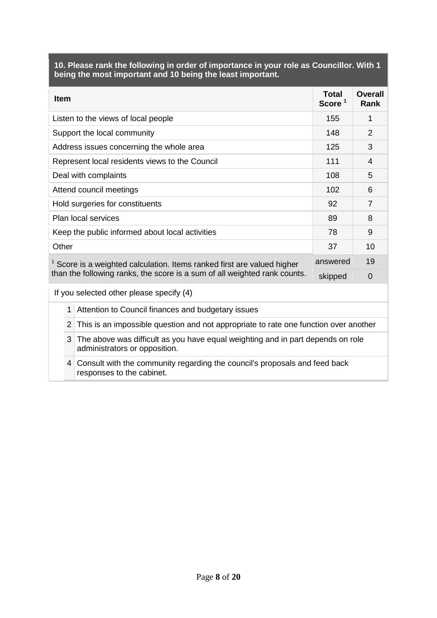|                                                                                                        | 10. Please rank the following in order of importance in your role as Councillor. With 1<br>being the most important and 10 being the least important. |                                                                                                                  |                                    |                               |  |  |
|--------------------------------------------------------------------------------------------------------|-------------------------------------------------------------------------------------------------------------------------------------------------------|------------------------------------------------------------------------------------------------------------------|------------------------------------|-------------------------------|--|--|
| <b>Item</b>                                                                                            |                                                                                                                                                       |                                                                                                                  | <b>Total</b><br>Score <sup>1</sup> | <b>Overall</b><br><b>Rank</b> |  |  |
|                                                                                                        |                                                                                                                                                       | Listen to the views of local people                                                                              | 155                                | 1                             |  |  |
|                                                                                                        |                                                                                                                                                       | Support the local community                                                                                      | 148                                | 2                             |  |  |
|                                                                                                        |                                                                                                                                                       | Address issues concerning the whole area                                                                         | 125                                | 3                             |  |  |
|                                                                                                        |                                                                                                                                                       | Represent local residents views to the Council                                                                   | 111                                | $\overline{4}$                |  |  |
|                                                                                                        |                                                                                                                                                       | Deal with complaints                                                                                             | 108                                | 5                             |  |  |
| Attend council meetings                                                                                |                                                                                                                                                       |                                                                                                                  |                                    | 6                             |  |  |
| Hold surgeries for constituents                                                                        |                                                                                                                                                       |                                                                                                                  | 92                                 | $\overline{7}$                |  |  |
| Plan local services                                                                                    |                                                                                                                                                       |                                                                                                                  | 89                                 | 8                             |  |  |
| Keep the public informed about local activities                                                        |                                                                                                                                                       |                                                                                                                  | 78                                 | 9                             |  |  |
|                                                                                                        | Other                                                                                                                                                 |                                                                                                                  | 37                                 | 10                            |  |  |
|                                                                                                        |                                                                                                                                                       | $1$ Score is a weighted calculation. Items ranked first are valued higher                                        | answered                           | 19                            |  |  |
|                                                                                                        |                                                                                                                                                       | than the following ranks, the score is a sum of all weighted rank counts.                                        | skipped                            | $\overline{0}$                |  |  |
|                                                                                                        |                                                                                                                                                       | If you selected other please specify (4)                                                                         |                                    |                               |  |  |
|                                                                                                        | 1                                                                                                                                                     | Attention to Council finances and budgetary issues                                                               |                                    |                               |  |  |
| $\overline{2}$<br>This is an impossible question and not appropriate to rate one function over another |                                                                                                                                                       |                                                                                                                  |                                    |                               |  |  |
|                                                                                                        | 3                                                                                                                                                     | The above was difficult as you have equal weighting and in part depends on role<br>administrators or opposition. |                                    |                               |  |  |
|                                                                                                        | 4                                                                                                                                                     | Consult with the community regarding the council's proposals and feed back<br>responses to the cabinet.          |                                    |                               |  |  |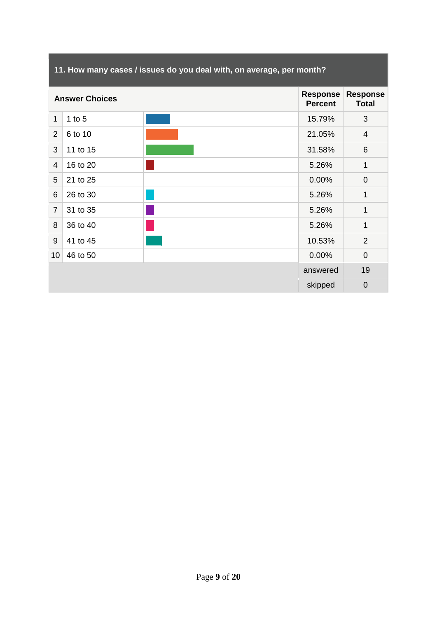# **11. How many cases / issues do you deal with, on average, per month?**

|                 | <b>Answer Choices</b> |  |          | <b>Response</b><br><b>Total</b> |
|-----------------|-----------------------|--|----------|---------------------------------|
| 1               | 1 to $5$              |  | 15.79%   | 3                               |
| $\overline{2}$  | 6 to 10               |  | 21.05%   | $\overline{4}$                  |
| 3               | 11 to 15              |  | 31.58%   | $6\phantom{1}6$                 |
| $\overline{4}$  | 16 to 20              |  | 5.26%    | 1                               |
| 5               | 21 to 25              |  | 0.00%    | $\boldsymbol{0}$                |
| $6\phantom{1}6$ | 26 to 30              |  | 5.26%    | 1                               |
| $\overline{7}$  | 31 to 35              |  | 5.26%    | 1                               |
| 8               | 36 to 40              |  | 5.26%    | $\mathbf{1}$                    |
| 9               | 41 to 45              |  | 10.53%   | $\overline{2}$                  |
| 10              | 46 to 50              |  | 0.00%    | $\mathbf 0$                     |
|                 |                       |  | answered | 19                              |
|                 |                       |  | skipped  | $\mathbf 0$                     |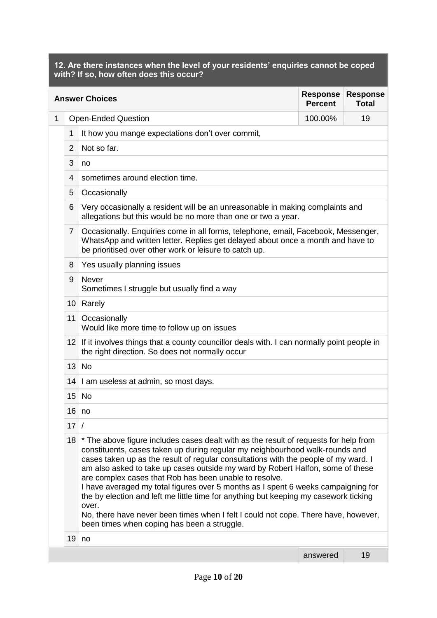**12. Are there instances when the level of your residents' enquiries cannot be coped with? If so, how often does this occur?** 

|              | <b>Response</b><br><b>Response</b><br><b>Answer Choices</b><br><b>Percent</b><br><b>Total</b> |                                                                                                                                                                                                                                                                                                                                                                                                                                                                                                                                                                                                                                                                                                                                    |          |    |  |  |  |
|--------------|-----------------------------------------------------------------------------------------------|------------------------------------------------------------------------------------------------------------------------------------------------------------------------------------------------------------------------------------------------------------------------------------------------------------------------------------------------------------------------------------------------------------------------------------------------------------------------------------------------------------------------------------------------------------------------------------------------------------------------------------------------------------------------------------------------------------------------------------|----------|----|--|--|--|
| $\mathbf{1}$ |                                                                                               | <b>Open-Ended Question</b>                                                                                                                                                                                                                                                                                                                                                                                                                                                                                                                                                                                                                                                                                                         | 100.00%  | 19 |  |  |  |
|              | 1                                                                                             | It how you mange expectations don't over commit,                                                                                                                                                                                                                                                                                                                                                                                                                                                                                                                                                                                                                                                                                   |          |    |  |  |  |
|              | 2                                                                                             | Not so far.                                                                                                                                                                                                                                                                                                                                                                                                                                                                                                                                                                                                                                                                                                                        |          |    |  |  |  |
|              | 3                                                                                             | no                                                                                                                                                                                                                                                                                                                                                                                                                                                                                                                                                                                                                                                                                                                                 |          |    |  |  |  |
|              | 4                                                                                             | sometimes around election time.                                                                                                                                                                                                                                                                                                                                                                                                                                                                                                                                                                                                                                                                                                    |          |    |  |  |  |
|              | 5                                                                                             | Occasionally                                                                                                                                                                                                                                                                                                                                                                                                                                                                                                                                                                                                                                                                                                                       |          |    |  |  |  |
|              | 6                                                                                             | Very occasionally a resident will be an unreasonable in making complaints and<br>allegations but this would be no more than one or two a year.                                                                                                                                                                                                                                                                                                                                                                                                                                                                                                                                                                                     |          |    |  |  |  |
|              | $\overline{7}$                                                                                | Occasionally. Enquiries come in all forms, telephone, email, Facebook, Messenger,<br>WhatsApp and written letter. Replies get delayed about once a month and have to<br>be prioritised over other work or leisure to catch up.                                                                                                                                                                                                                                                                                                                                                                                                                                                                                                     |          |    |  |  |  |
|              | 8                                                                                             | Yes usually planning issues                                                                                                                                                                                                                                                                                                                                                                                                                                                                                                                                                                                                                                                                                                        |          |    |  |  |  |
|              | 9                                                                                             | <b>Never</b><br>Sometimes I struggle but usually find a way                                                                                                                                                                                                                                                                                                                                                                                                                                                                                                                                                                                                                                                                        |          |    |  |  |  |
|              |                                                                                               | 10 Rarely                                                                                                                                                                                                                                                                                                                                                                                                                                                                                                                                                                                                                                                                                                                          |          |    |  |  |  |
|              |                                                                                               | 11 Occasionally<br>Would like more time to follow up on issues                                                                                                                                                                                                                                                                                                                                                                                                                                                                                                                                                                                                                                                                     |          |    |  |  |  |
|              |                                                                                               | 12 If it involves things that a county councillor deals with. I can normally point people in<br>the right direction. So does not normally occur                                                                                                                                                                                                                                                                                                                                                                                                                                                                                                                                                                                    |          |    |  |  |  |
|              |                                                                                               | $13$ No                                                                                                                                                                                                                                                                                                                                                                                                                                                                                                                                                                                                                                                                                                                            |          |    |  |  |  |
|              |                                                                                               | 14   I am useless at admin, so most days.                                                                                                                                                                                                                                                                                                                                                                                                                                                                                                                                                                                                                                                                                          |          |    |  |  |  |
|              |                                                                                               | $15$ No                                                                                                                                                                                                                                                                                                                                                                                                                                                                                                                                                                                                                                                                                                                            |          |    |  |  |  |
|              | $16 \mid no$                                                                                  |                                                                                                                                                                                                                                                                                                                                                                                                                                                                                                                                                                                                                                                                                                                                    |          |    |  |  |  |
|              | 17                                                                                            | $\prime$                                                                                                                                                                                                                                                                                                                                                                                                                                                                                                                                                                                                                                                                                                                           |          |    |  |  |  |
|              | 18                                                                                            | * The above figure includes cases dealt with as the result of requests for help from<br>constituents, cases taken up during regular my neighbourhood walk-rounds and<br>cases taken up as the result of regular consultations with the people of my ward. I<br>am also asked to take up cases outside my ward by Robert Halfon, some of these<br>are complex cases that Rob has been unable to resolve.<br>I have averaged my total figures over 5 months as I spent 6 weeks campaigning for<br>the by election and left me little time for anything but keeping my casework ticking<br>over.<br>No, there have never been times when I felt I could not cope. There have, however,<br>been times when coping has been a struggle. |          |    |  |  |  |
|              | 19                                                                                            | no                                                                                                                                                                                                                                                                                                                                                                                                                                                                                                                                                                                                                                                                                                                                 |          |    |  |  |  |
|              |                                                                                               |                                                                                                                                                                                                                                                                                                                                                                                                                                                                                                                                                                                                                                                                                                                                    | answered | 19 |  |  |  |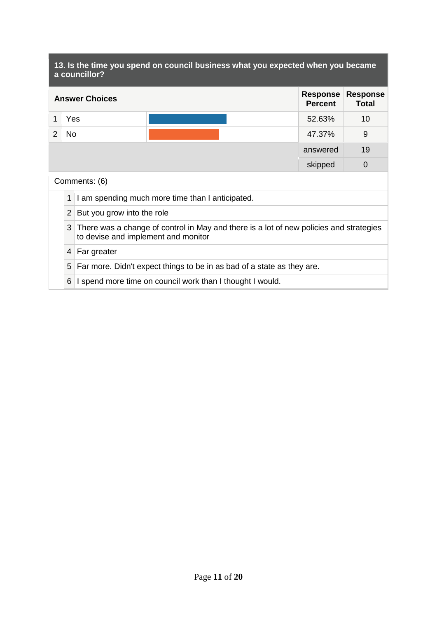|                                                                                                                                    | 13. Is the time you spend on council business what you expected when you became<br>a councillor? |                            |                                                           |  |                                 |    |
|------------------------------------------------------------------------------------------------------------------------------------|--------------------------------------------------------------------------------------------------|----------------------------|-----------------------------------------------------------|--|---------------------------------|----|
| <b>Response</b><br><b>Answer Choices</b><br><b>Percent</b>                                                                         |                                                                                                  |                            |                                                           |  | <b>Response</b><br><b>Total</b> |    |
| 1                                                                                                                                  | Yes                                                                                              |                            |                                                           |  | 52.63%                          | 10 |
| 2                                                                                                                                  | <b>No</b>                                                                                        |                            |                                                           |  | 47.37%                          | 9  |
|                                                                                                                                    |                                                                                                  |                            |                                                           |  | answered                        | 19 |
|                                                                                                                                    | $\overline{0}$<br>skipped                                                                        |                            |                                                           |  |                                 |    |
|                                                                                                                                    |                                                                                                  | Comments: (6)              |                                                           |  |                                 |    |
|                                                                                                                                    | 1                                                                                                |                            | I am spending much more time than I anticipated.          |  |                                 |    |
|                                                                                                                                    | $\overline{2}$                                                                                   | But you grow into the role |                                                           |  |                                 |    |
| 3<br>There was a change of control in May and there is a lot of new policies and strategies<br>to devise and implement and monitor |                                                                                                  |                            |                                                           |  |                                 |    |
|                                                                                                                                    | 4                                                                                                | Far greater                |                                                           |  |                                 |    |
| 5<br>Far more. Didn't expect things to be in as bad of a state as they are.                                                        |                                                                                                  |                            |                                                           |  |                                 |    |
|                                                                                                                                    | 6                                                                                                |                            | I spend more time on council work than I thought I would. |  |                                 |    |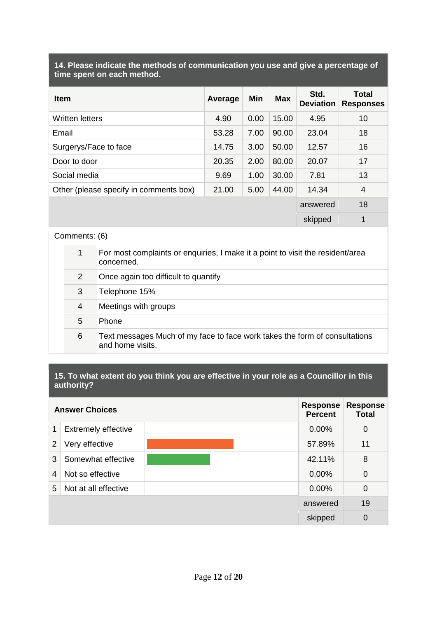| 14. Please indicate the methods of communication you use and give a percentage of |  |
|-----------------------------------------------------------------------------------|--|
| time spent on each method.                                                        |  |

| <b>Item</b>                            | Average | Min  | <b>Max</b> | Std.<br><b>Deviation</b> | <b>Total</b><br><b>Responses</b> |
|----------------------------------------|---------|------|------------|--------------------------|----------------------------------|
| Written letters                        | 4.90    | 0.00 | 15.00      | 4.95                     | 10                               |
| Email                                  | 53.28   | 7.00 | 90.00      | 23.04                    | 18                               |
| Surgerys/Face to face                  | 14.75   | 3.00 | 50.00      | 12.57                    | 16                               |
| Door to door                           | 20.35   | 2.00 | 80.00      | 20.07                    | 17                               |
| Social media                           | 9.69    | 1.00 | 30.00      | 7.81                     | 13                               |
| Other (please specify in comments box) | 21.00   | 5.00 | 44.00      | 14.34                    | 4                                |
|                                        |         |      |            | answered                 | 18                               |
|                                        |         |      |            | skipped                  | 1                                |

## Comments: (6)

| 1 | For most complaints or enquiries, I make it a point to visit the resident/area<br>concerned.   |
|---|------------------------------------------------------------------------------------------------|
| 2 | Once again too difficult to quantify                                                           |
| 3 | Telephone 15%                                                                                  |
| 4 | Meetings with groups                                                                           |
| 5 | Phone                                                                                          |
| 6 | Text messages Much of my face to face work takes the form of consultations<br>and home visits. |
|   |                                                                                                |

### **15. To what extent do you think you are effective in your role as a Councillor in this authority?**

|   | <b>Answer Choices</b>      | <b>Response</b><br><b>Percent</b> | <b>Response</b><br><b>Total</b> |
|---|----------------------------|-----------------------------------|---------------------------------|
| 1 | <b>Extremely effective</b> | 0.00%                             | $\mathbf 0$                     |
| 2 | Very effective             | 57.89%                            | 11                              |
| 3 | Somewhat effective         | 42.11%                            | 8                               |
| 4 | Not so effective           | $0.00\%$                          | $\mathbf 0$                     |
| 5 | Not at all effective       | 0.00%                             | $\mathbf 0$                     |
|   |                            | answered                          | 19                              |
|   |                            | skipped                           | $\overline{0}$                  |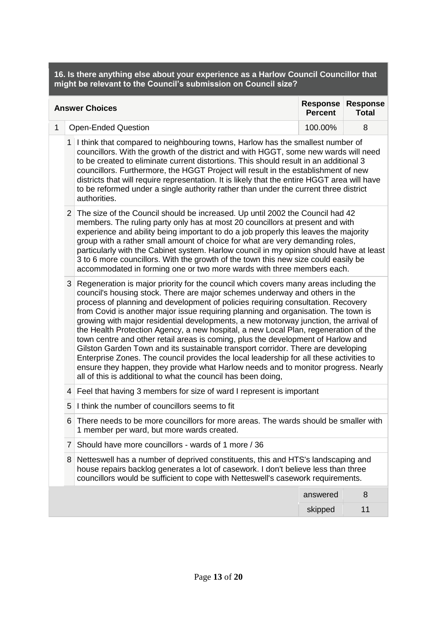**16. Is there anything else about your experience as a Harlow Council Councillor that might be relevant to the Council's submission on Council size?** 

|                                                                                                                                                                                                                                                                                                                                                                                                                                                                                                                                                                 | <b>Answer Choices</b>                                                                                                                                                                                                                                           |                                                                                                                                                                                                                                                                                                                                                                                                                                                                                                                                                                                                                                                                                                                                                                                                                                                                                                                                                          |                                                                                                                                                                                                                                                                                                                                                                                                                                                                                                                                                                                                      | <b>Response</b><br><b>Response</b><br><b>Total</b> |  |  |
|-----------------------------------------------------------------------------------------------------------------------------------------------------------------------------------------------------------------------------------------------------------------------------------------------------------------------------------------------------------------------------------------------------------------------------------------------------------------------------------------------------------------------------------------------------------------|-----------------------------------------------------------------------------------------------------------------------------------------------------------------------------------------------------------------------------------------------------------------|----------------------------------------------------------------------------------------------------------------------------------------------------------------------------------------------------------------------------------------------------------------------------------------------------------------------------------------------------------------------------------------------------------------------------------------------------------------------------------------------------------------------------------------------------------------------------------------------------------------------------------------------------------------------------------------------------------------------------------------------------------------------------------------------------------------------------------------------------------------------------------------------------------------------------------------------------------|------------------------------------------------------------------------------------------------------------------------------------------------------------------------------------------------------------------------------------------------------------------------------------------------------------------------------------------------------------------------------------------------------------------------------------------------------------------------------------------------------------------------------------------------------------------------------------------------------|----------------------------------------------------|--|--|
| $\mathbf{1}$                                                                                                                                                                                                                                                                                                                                                                                                                                                                                                                                                    |                                                                                                                                                                                                                                                                 | <b>Open-Ended Question</b>                                                                                                                                                                                                                                                                                                                                                                                                                                                                                                                                                                                                                                                                                                                                                                                                                                                                                                                               | 100.00%                                                                                                                                                                                                                                                                                                                                                                                                                                                                                                                                                                                              | 8                                                  |  |  |
| 1 I think that compared to neighbouring towns, Harlow has the smallest number of<br>councillors. With the growth of the district and with HGGT, some new wards will need<br>to be created to eliminate current distortions. This should result in an additional 3<br>councillors. Furthermore, the HGGT Project will result in the establishment of new<br>districts that will require representation. It is likely that the entire HGGT area will have<br>to be reformed under a single authority rather than under the current three district<br>authorities. |                                                                                                                                                                                                                                                                 |                                                                                                                                                                                                                                                                                                                                                                                                                                                                                                                                                                                                                                                                                                                                                                                                                                                                                                                                                          |                                                                                                                                                                                                                                                                                                                                                                                                                                                                                                                                                                                                      |                                                    |  |  |
|                                                                                                                                                                                                                                                                                                                                                                                                                                                                                                                                                                 |                                                                                                                                                                                                                                                                 |                                                                                                                                                                                                                                                                                                                                                                                                                                                                                                                                                                                                                                                                                                                                                                                                                                                                                                                                                          | 2 The size of the Council should be increased. Up until 2002 the Council had 42<br>members. The ruling party only has at most 20 councillors at present and with<br>experience and ability being important to do a job properly this leaves the majority<br>group with a rather small amount of choice for what are very demanding roles,<br>particularly with the Cabinet system. Harlow council in my opinion should have at least<br>3 to 6 more councillors. With the growth of the town this new size could easily be<br>accommodated in forming one or two more wards with three members each. |                                                    |  |  |
|                                                                                                                                                                                                                                                                                                                                                                                                                                                                                                                                                                 |                                                                                                                                                                                                                                                                 | 3 Regeneration is major priority for the council which covers many areas including the<br>council's housing stock. There are major schemes underway and others in the<br>process of planning and development of policies requiring consultation. Recovery<br>from Covid is another major issue requiring planning and organisation. The town is<br>growing with major residential developments, a new motorway junction, the arrival of<br>the Health Protection Agency, a new hospital, a new Local Plan, regeneration of the<br>town centre and other retail areas is coming, plus the development of Harlow and<br>Gilston Garden Town and its sustainable transport corridor. There are developing<br>Enterprise Zones. The council provides the local leadership for all these activities to<br>ensure they happen, they provide what Harlow needs and to monitor progress. Nearly<br>all of this is additional to what the council has been doing, |                                                                                                                                                                                                                                                                                                                                                                                                                                                                                                                                                                                                      |                                                    |  |  |
|                                                                                                                                                                                                                                                                                                                                                                                                                                                                                                                                                                 |                                                                                                                                                                                                                                                                 | 4 Feel that having 3 members for size of ward I represent is important                                                                                                                                                                                                                                                                                                                                                                                                                                                                                                                                                                                                                                                                                                                                                                                                                                                                                   |                                                                                                                                                                                                                                                                                                                                                                                                                                                                                                                                                                                                      |                                                    |  |  |
|                                                                                                                                                                                                                                                                                                                                                                                                                                                                                                                                                                 | 5                                                                                                                                                                                                                                                               | I think the number of councillors seems to fit                                                                                                                                                                                                                                                                                                                                                                                                                                                                                                                                                                                                                                                                                                                                                                                                                                                                                                           |                                                                                                                                                                                                                                                                                                                                                                                                                                                                                                                                                                                                      |                                                    |  |  |
| There needs to be more councillors for more areas. The wards should be smaller with<br>6<br>1 member per ward, but more wards created.                                                                                                                                                                                                                                                                                                                                                                                                                          |                                                                                                                                                                                                                                                                 |                                                                                                                                                                                                                                                                                                                                                                                                                                                                                                                                                                                                                                                                                                                                                                                                                                                                                                                                                          |                                                                                                                                                                                                                                                                                                                                                                                                                                                                                                                                                                                                      |                                                    |  |  |
|                                                                                                                                                                                                                                                                                                                                                                                                                                                                                                                                                                 | $\overline{7}$                                                                                                                                                                                                                                                  | Should have more councillors - wards of 1 more / 36                                                                                                                                                                                                                                                                                                                                                                                                                                                                                                                                                                                                                                                                                                                                                                                                                                                                                                      |                                                                                                                                                                                                                                                                                                                                                                                                                                                                                                                                                                                                      |                                                    |  |  |
|                                                                                                                                                                                                                                                                                                                                                                                                                                                                                                                                                                 | Netteswell has a number of deprived constituents, this and HTS's landscaping and<br>8<br>house repairs backlog generates a lot of casework. I don't believe less than three<br>councillors would be sufficient to cope with Netteswell's casework requirements. |                                                                                                                                                                                                                                                                                                                                                                                                                                                                                                                                                                                                                                                                                                                                                                                                                                                                                                                                                          |                                                                                                                                                                                                                                                                                                                                                                                                                                                                                                                                                                                                      |                                                    |  |  |
|                                                                                                                                                                                                                                                                                                                                                                                                                                                                                                                                                                 |                                                                                                                                                                                                                                                                 |                                                                                                                                                                                                                                                                                                                                                                                                                                                                                                                                                                                                                                                                                                                                                                                                                                                                                                                                                          | answered                                                                                                                                                                                                                                                                                                                                                                                                                                                                                                                                                                                             | 8                                                  |  |  |
|                                                                                                                                                                                                                                                                                                                                                                                                                                                                                                                                                                 |                                                                                                                                                                                                                                                                 |                                                                                                                                                                                                                                                                                                                                                                                                                                                                                                                                                                                                                                                                                                                                                                                                                                                                                                                                                          | skipped                                                                                                                                                                                                                                                                                                                                                                                                                                                                                                                                                                                              | 11                                                 |  |  |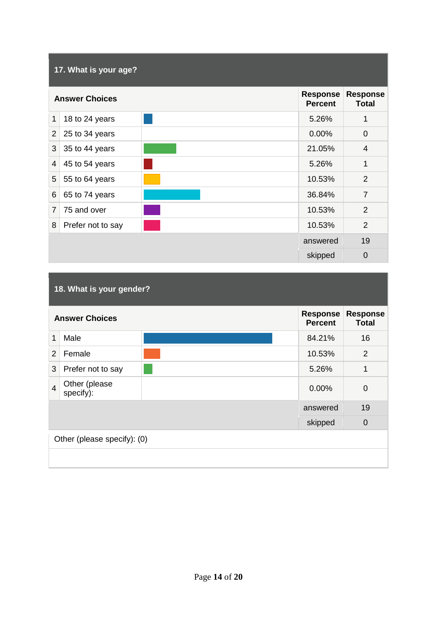|                          | 17. What is your age? |                                   |                                 |                |  |  |  |
|--------------------------|-----------------------|-----------------------------------|---------------------------------|----------------|--|--|--|
|                          | <b>Answer Choices</b> | <b>Response</b><br><b>Percent</b> | <b>Response</b><br><b>Total</b> |                |  |  |  |
| 1                        | 18 to 24 years        |                                   | 5.26%                           | 1              |  |  |  |
| $\overline{2}$           | 25 to 34 years        |                                   | 0.00%                           | 0              |  |  |  |
| 3                        | 35 to 44 years        |                                   | 21.05%                          | $\overline{4}$ |  |  |  |
| $\overline{\mathcal{A}}$ | 45 to 54 years        |                                   | 5.26%                           | 1              |  |  |  |
| 5                        | 55 to 64 years        |                                   | 10.53%                          | $\overline{2}$ |  |  |  |
| 6                        | 65 to 74 years        |                                   | 36.84%                          | $\overline{7}$ |  |  |  |
| $\overline{7}$           | 75 and over           |                                   | 10.53%                          | $\overline{2}$ |  |  |  |
| 8                        | Prefer not to say     |                                   | 10.53%                          | $\overline{2}$ |  |  |  |
|                          |                       |                                   | answered                        | 19             |  |  |  |
|                          |                       |                                   | skipped                         | $\mathbf 0$    |  |  |  |

# **18. What is your gender?**

|                | <b>Answer Choices</b>       |  |          | <b>Response</b><br><b>Total</b> |  |  |
|----------------|-----------------------------|--|----------|---------------------------------|--|--|
| 1              | Male                        |  | 84.21%   | 16                              |  |  |
| 2              | Female                      |  | 10.53%   | 2                               |  |  |
| 3              | Prefer not to say           |  | 5.26%    | 1                               |  |  |
| $\overline{4}$ | Other (please<br>specify):  |  | 0.00%    | 0                               |  |  |
|                |                             |  | answered | 19                              |  |  |
|                |                             |  | skipped  | $\mathbf 0$                     |  |  |
|                | Other (please specify): (0) |  |          |                                 |  |  |
|                |                             |  |          |                                 |  |  |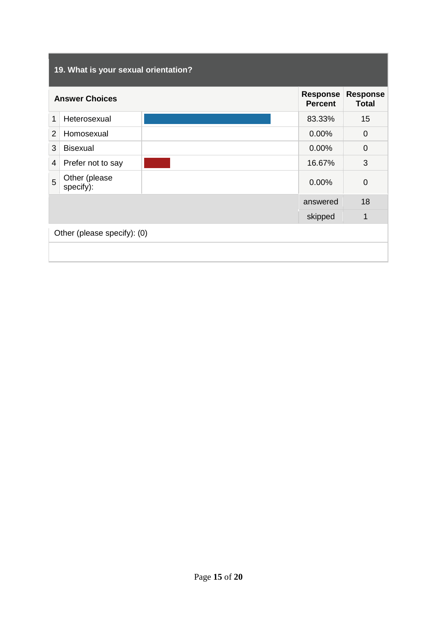|                | 19. What is your sexual orientation?     |  |          |                                 |  |  |
|----------------|------------------------------------------|--|----------|---------------------------------|--|--|
|                | <b>Response</b><br><b>Answer Choices</b> |  |          | <b>Response</b><br><b>Total</b> |  |  |
| 1              | Heterosexual                             |  | 83.33%   | 15                              |  |  |
| $\overline{2}$ | Homosexual                               |  | 0.00%    | $\Omega$                        |  |  |
| 3              | <b>Bisexual</b>                          |  | 0.00%    | $\Omega$                        |  |  |
| $\overline{4}$ | Prefer not to say                        |  | 16.67%   | 3                               |  |  |
| 5              | Other (please<br>specify):               |  | 0.00%    | $\overline{0}$                  |  |  |
|                |                                          |  | answered | 18                              |  |  |
|                | 1<br>skipped                             |  |          |                                 |  |  |
|                | Other (please specify): (0)              |  |          |                                 |  |  |
|                |                                          |  |          |                                 |  |  |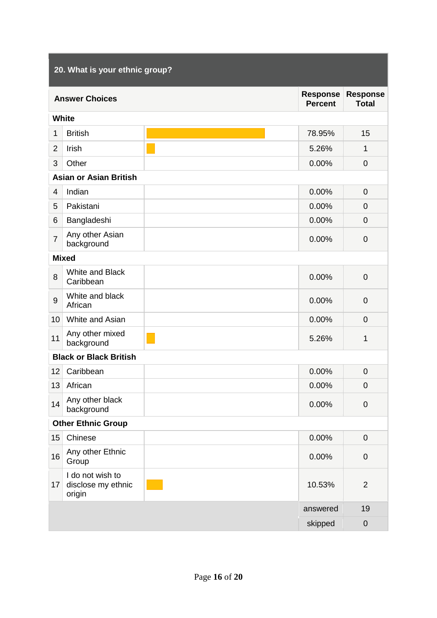|                | 20. What is your ethnic group?                   |  |                                   |                                 |  |  |
|----------------|--------------------------------------------------|--|-----------------------------------|---------------------------------|--|--|
|                | <b>Answer Choices</b>                            |  | <b>Response</b><br><b>Percent</b> | <b>Response</b><br><b>Total</b> |  |  |
|                | <b>White</b>                                     |  |                                   |                                 |  |  |
| 1              | <b>British</b>                                   |  | 78.95%                            | 15                              |  |  |
| $\overline{2}$ | Irish                                            |  | 5.26%                             | 1                               |  |  |
| 3              | Other                                            |  | 0.00%                             | $\overline{0}$                  |  |  |
|                | <b>Asian or Asian British</b>                    |  |                                   |                                 |  |  |
| $\overline{4}$ | Indian                                           |  | 0.00%                             | $\overline{0}$                  |  |  |
| 5              | Pakistani                                        |  | 0.00%                             | 0                               |  |  |
| 6              | Bangladeshi                                      |  | 0.00%                             | $\overline{0}$                  |  |  |
| $\overline{7}$ | Any other Asian<br>background                    |  | 0.00%                             | $\mathbf 0$                     |  |  |
| <b>Mixed</b>   |                                                  |  |                                   |                                 |  |  |
| 8              | White and Black<br>Caribbean                     |  | 0.00%                             | $\mathbf 0$                     |  |  |
| 9              | White and black<br>African                       |  | 0.00%                             | $\overline{0}$                  |  |  |
| 10             | White and Asian                                  |  | 0.00%                             | $\overline{0}$                  |  |  |
| 11             | Any other mixed<br>background                    |  | 5.26%                             | 1                               |  |  |
|                | <b>Black or Black British</b>                    |  |                                   |                                 |  |  |
| 12             | Caribbean                                        |  | 0.00%                             | 0                               |  |  |
| 13             | African                                          |  | 0.00%                             | $\pmb{0}$                       |  |  |
| 14             | Any other black<br>background                    |  | 0.00%                             | $\pmb{0}$                       |  |  |
|                | <b>Other Ethnic Group</b>                        |  |                                   |                                 |  |  |
| 15             | Chinese                                          |  | 0.00%                             | $\pmb{0}$                       |  |  |
| 16             | Any other Ethnic<br>Group                        |  | 0.00%                             | $\overline{0}$                  |  |  |
| 17             | I do not wish to<br>disclose my ethnic<br>origin |  | 10.53%                            | $\overline{2}$                  |  |  |
|                |                                                  |  | answered                          | 19                              |  |  |
|                |                                                  |  | skipped                           | $\boldsymbol{0}$                |  |  |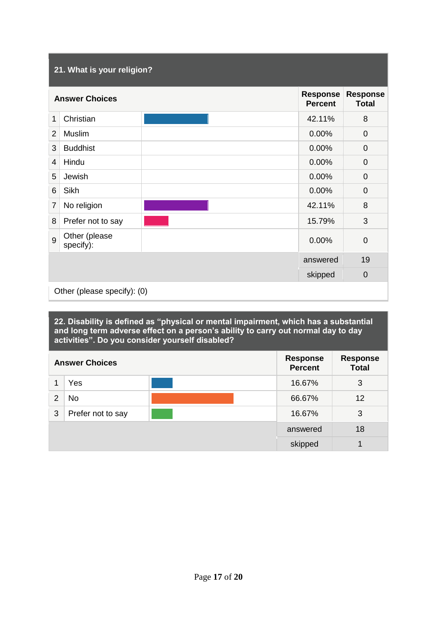# **21. What is your religion? Answer Choices Percent Response Total** 1 Christian 42.11% 8 2 Muslim 0.00% 0 3 Buddhist 0.00% 0 4 Hindu 0.00% 0 5 Jewish 0.00% 0 6 Sikh 0.00% 0 T No religion 8 8 Prefer not to say 15.79% 3 9 Other (please Sinch (picase of the control of the control of the control of the control of the control of the control of the control of the control of the control of the control of the control of the control of the control of the contro answered 19 skipped 0 Other (please specify): (0)

**22. Disability is defined as "physical or mental impairment, which has a substantial and long term adverse effect on a person's ability to carry out normal day to day activities". Do you consider yourself disabled?** 

| <b>Answer Choices</b> |                   | <b>Response</b><br><b>Percent</b> | <b>Response</b><br><b>Total</b> |    |
|-----------------------|-------------------|-----------------------------------|---------------------------------|----|
|                       | Yes               |                                   | 16.67%                          | 3  |
| $\overline{2}$        | No                |                                   | 66.67%                          | 12 |
| 3                     | Prefer not to say |                                   | 16.67%                          | 3  |
|                       |                   | answered                          | 18                              |    |
|                       |                   |                                   | skipped                         | 4  |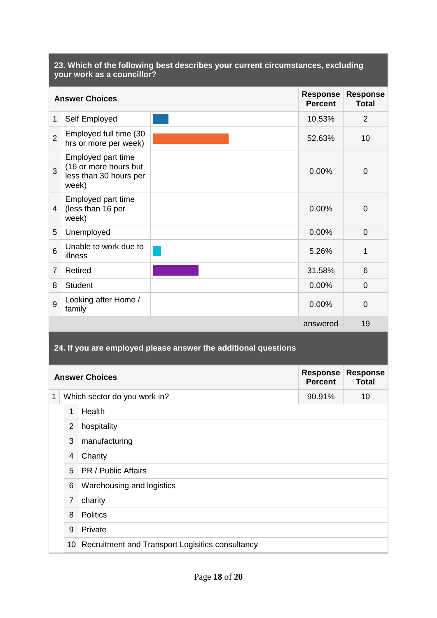#### **23. Which of the following best describes your current circumstances, excluding your work as a councillor? Answer Choices Percent Response Total** 1 Self Employed 2 2 Employed full time (30 hrs or more per week) **10** hrs or more per week) **10** 3 Employed part time (16 or more hours but less than 30 hours per week)  $0.00\%$  0 4 (less than 16 per Employed part time week) 0.00% 0 5 Unemployed 0.00% 0.00% 0.00% 0.00% 0.00% 0.00% 0.00% 0.00% 0.00% 0.00% 0.00% 0.00% 0.00% 0.00% 0.00% 0.00% 0.00% 0.00% 0.00% 0.00% 0.00% 0.00% 0.00% 0.00% 0.00% 0.00% 0.00% 0.00% 0.00% 0.00% 0.00% 0.00% 0.00% 0.00% 0.00% 6 Unable to work due to illness  $\frac{1}{2}$  5.26% 1 7 Retired 6 and 1 and 1 and 1 and 1 and 1 and 1 and 1 and 1 and 1 and 1 and 1 and 1 and 1 and 1 and 1 and 1 an 8 Student 0.00% 0 9 Looking after Home /  $\frac{1}{2}$  contriguited notice that  $\frac{1}{2}$  and  $\frac{1}{2}$  0.00% 0 answered 19 **24. If you are employed please answer the additional questions**

|              | <b>Answer Choices</b> |                                                  |        | <b>Response</b><br><b>Total</b> |  |  |
|--------------|-----------------------|--------------------------------------------------|--------|---------------------------------|--|--|
| $\mathbf{1}$ |                       | Which sector do you work in?                     | 90.91% | 10                              |  |  |
|              | 1                     | Health                                           |        |                                 |  |  |
|              | 2                     | hospitality                                      |        |                                 |  |  |
|              | 3                     | manufacturing                                    |        |                                 |  |  |
|              | 4                     | Charity                                          |        |                                 |  |  |
|              | 5                     | PR / Public Affairs                              |        |                                 |  |  |
|              | 6                     | Warehousing and logistics                        |        |                                 |  |  |
|              | $\overline{7}$        | charity                                          |        |                                 |  |  |
|              | 8                     | <b>Politics</b>                                  |        |                                 |  |  |
|              | 9                     | Private                                          |        |                                 |  |  |
|              | 10 <sup>°</sup>       | Recruitment and Transport Logisitics consultancy |        |                                 |  |  |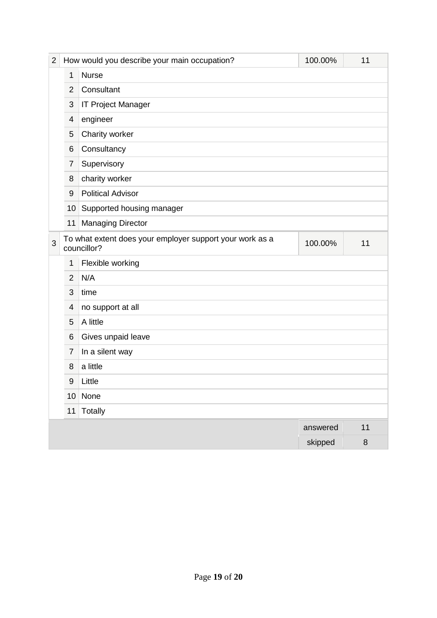| $\overline{2}$ |                         | How would you describe your main occupation?                                             | 100.00%  | 11      |  |  |  |  |  |
|----------------|-------------------------|------------------------------------------------------------------------------------------|----------|---------|--|--|--|--|--|
|                | 1                       | <b>Nurse</b>                                                                             |          |         |  |  |  |  |  |
|                | $\overline{2}$          | Consultant                                                                               |          |         |  |  |  |  |  |
|                | 3                       | <b>IT Project Manager</b>                                                                |          |         |  |  |  |  |  |
|                | 4                       | engineer                                                                                 |          |         |  |  |  |  |  |
|                | 5                       | Charity worker                                                                           |          |         |  |  |  |  |  |
|                | 6                       | Consultancy                                                                              |          |         |  |  |  |  |  |
|                | 7                       | Supervisory                                                                              |          |         |  |  |  |  |  |
|                | 8                       | charity worker                                                                           |          |         |  |  |  |  |  |
|                | 9                       | <b>Political Advisor</b>                                                                 |          |         |  |  |  |  |  |
|                | 10                      | Supported housing manager                                                                |          |         |  |  |  |  |  |
|                | 11                      | <b>Managing Director</b>                                                                 |          |         |  |  |  |  |  |
| 3              |                         | To what extent does your employer support your work as a<br>100.00%<br>11<br>councillor? |          |         |  |  |  |  |  |
|                | 1                       | Flexible working                                                                         |          |         |  |  |  |  |  |
|                | $\overline{2}$          | N/A                                                                                      |          |         |  |  |  |  |  |
|                | 3                       | time                                                                                     |          |         |  |  |  |  |  |
|                | $\overline{\mathbf{4}}$ | no support at all                                                                        |          |         |  |  |  |  |  |
|                | 5                       | A little                                                                                 |          |         |  |  |  |  |  |
|                | 6                       | Gives unpaid leave                                                                       |          |         |  |  |  |  |  |
|                | 7                       | In a silent way                                                                          |          |         |  |  |  |  |  |
|                | 8                       | a little                                                                                 |          |         |  |  |  |  |  |
|                | 9                       | Little                                                                                   |          |         |  |  |  |  |  |
|                |                         | $10$ None                                                                                |          |         |  |  |  |  |  |
|                | 11                      | Totally                                                                                  |          |         |  |  |  |  |  |
|                |                         |                                                                                          | answered | $11$    |  |  |  |  |  |
|                |                         |                                                                                          | skipped  | $\bf 8$ |  |  |  |  |  |